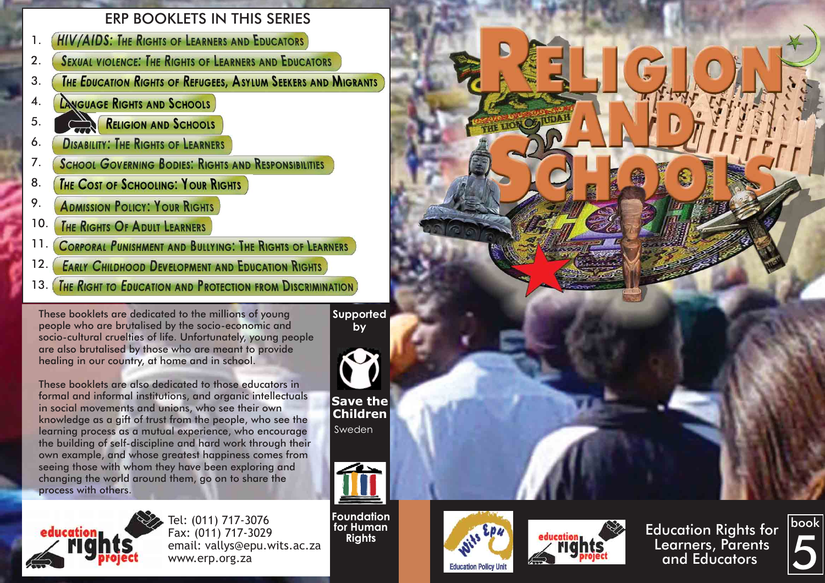# ERP BOOKLETS IN THIS SERIES

- **HIV/AIDS: THE RIGHTS OF LEARNERS AND EDUCATORS** 1.
- **SEXUAL VIOLENCE: THE RIGHTS OF LEARNERS AND EDUCATORS** 2.
- THE EDUCATION RIGHTS OF REFUGEES, ASYLUM SEEKERS AND MIGRANTS 3.
- **LANGUAGE RIGHTS AND SCHOOLS** 4.
- RELIGION AND SCHOOLS 5.
- **DISABILITY: THE RIGHTS OF LEARNERS** 6.
- **SCHOOL GOVERNING BODIES: RIGHTS AND RESPONSIBILITIES** 7.
- **THE COST OF SCHOOLING: YOUR RIGHTS** 8.
- 9. **ADMISSION POLICY: YOUR RIGHTS**
- 10. **THE RIGHTS OF ADULT LEARNERS**
- **CORPORAL PUNISHMENT AND BULLYING: THE RIGHTS OF LEARNERS** 11.
- **EARLY CHILDHOOD DEVELOPMENT AND EDUCATION RIGHTS** 12.
- THE RIGHT TO EDUCATION AND PROTECTION FROM DISCRIMINATION 13.

These booklets are dedicated to the millions of young people who are brutalised by the socio-economic and socio-cultural cruelties of life. Unfortunately, young people are also brutalised by those who are meant to provide healing in our country, at home and in school.

These booklets are also dedicated to those educators in formal and informal institutions, and organic intellectuals in social movements and unions, who see their own knowledge as a gift of trust from the people, who see the learning process as a mutual experience, who encourage the building of self-discipline and hard work through their own example, and whose greatest happiness comes from seeing those with whom they have been exploring and changing the world around them, go on to share the process with others.



Tel: (011) 717-3076 Fax: (011) 717-3029 email: vallys@epu.wits.ac.za www.erp.org.za

**Supported by**

**Save the Children** Sweden



**Foundation for Human Rights**





Education Rights for Learners, Parents and Educators

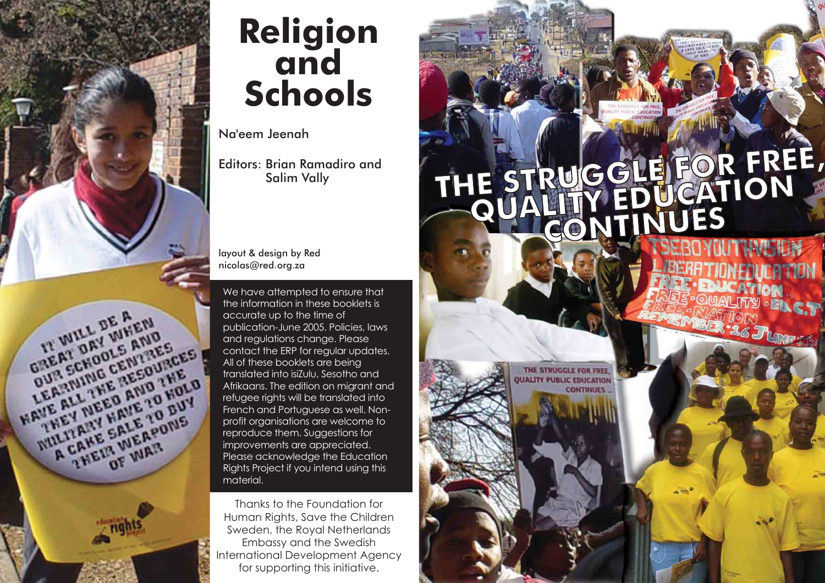

# **Religion and Schools**

Na'eem Jeenah

Editors: Brian Ramadiro and Salim Vally

layout & design by Red nicolas@red.org.za

We have attempted to ensure that the information in these booklets is accurate up to the time of publication-June 2005. Policies, laws and regulations change. Please contact the ERP for regular updates. All of these booklets are being translated into isiZulu, Sesotho and refugee rights will be translated into French and Portuguese as well. Nonprofit organisations are welcome to reproduce them. Suggestions for improvements are appreciated. Please acknowledge the Education Rights Project if you intend using this material.

Thanks to the Foundation for Human Rights, Save the Children Sweden, the Royal Netherlands Embassy and the Swedish International Development Agency for supporting this initiative.

# **THE STRUGGLE FOR FREE, FREE, QUALITY EDUCATION CONTINUES**

THE STRUGGLE FOR FREE **JALITY PUBLIC FOUCATION** 

**CONTINUES**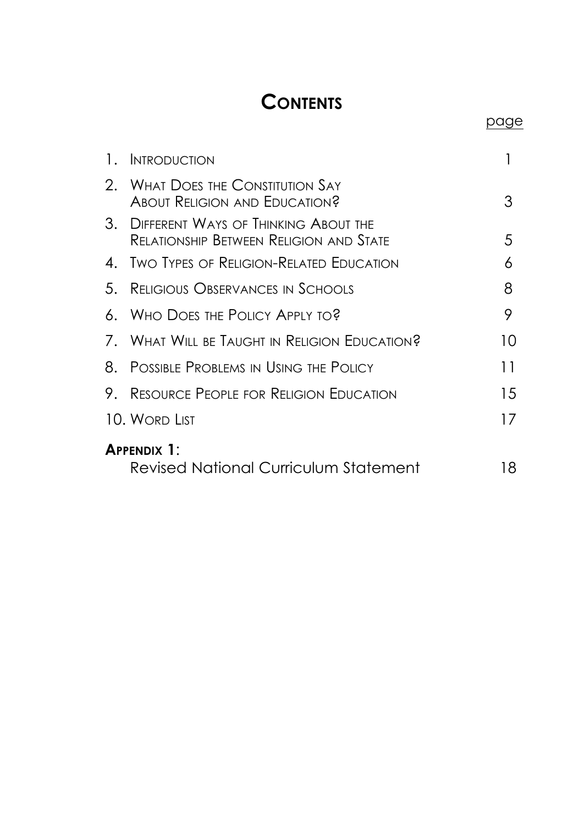# **CONTENTS**

page

| $\mathbf{L}$       | <b>INTRODUCTION</b>                                                             |    |
|--------------------|---------------------------------------------------------------------------------|----|
| 2.                 | <b>WHAT DOES THE CONSTITUTION SAY</b><br>ABOUT RELIGION AND EDUCATION?          | З  |
| 3.                 | DIFFERENT WAYS OF THINKING ABOUT THE<br>Relationship Between Religion and State | 5. |
|                    | 4. Two Types of Religion-Related Education                                      | 6  |
| 5.                 | Religious Observances in Schools                                                | 8  |
|                    | 6. Who Does the Policy Apply to?                                                | 9  |
|                    | 7. WHAT WILL BE TAUGHT IN RELIGION EDUCATION?                                   | 10 |
| 8.                 | - Possible Problems in Using the Policy                                         | 11 |
| 9.                 | - Resource People for Religion Fducation                                        | 15 |
|                    | 10. Word List                                                                   | 17 |
| <b>APPENDIX 1:</b> |                                                                                 |    |
|                    | Revised National Curriculum Statement                                           | 18 |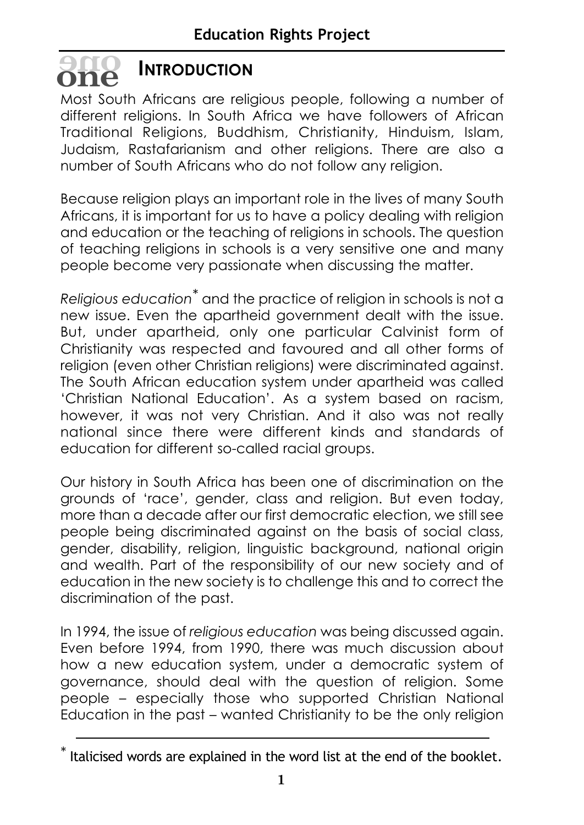# **INTRODUCTION oneone**

Most South Africans are religious people, following a number of different religions. In South Africa we have followers of African Traditional Religions, Buddhism, Christianity, Hinduism, Islam, Judaism, Rastafarianism and other religions. There are also a number of South Africans who do not follow any religion.

Because religion plays an important role in the lives of many South Africans, it is important for us to have a policy dealing with religion and education or the teaching of religions in schools. The question of teaching religions in schools is a very sensitive one and many people become very passionate when discussing the matter.

*Religious education\** and the practice of religion in schools is not a new issue. Even the apartheid government dealt with the issue. But, under apartheid, only one particular Calvinist form of Christianity was respected and favoured and all other forms of religion (even other Christian religions) were discriminated against. The South African education system under apartheid was called 'Christian National Education'. As a system based on racism, however, it was not very Christian. And it also was not really national since there were different kinds and standards of education for different so-called racial groups.

Our history in South Africa has been one of discrimination on the grounds of 'race', gender, class and religion. But even today, more than a decade after our first democratic election, we still see people being discriminated against on the basis of social class, gender, disability, religion, linguistic background, national origin and wealth. Part of the responsibility of our new society and of education in the new society is to challenge this and to correct the discrimination of the past.

In 1994, the issue of *religious education* was being discussed again. Even before 1994, from 1990, there was much discussion about how a new education system, under a democratic system of governance, should deal with the question of religion. Some people – especially those who supported Christian National Education in the past – wanted Christianity to be the only religion

 $^*$  Italicised words are explained in the word list at the end of the booklet.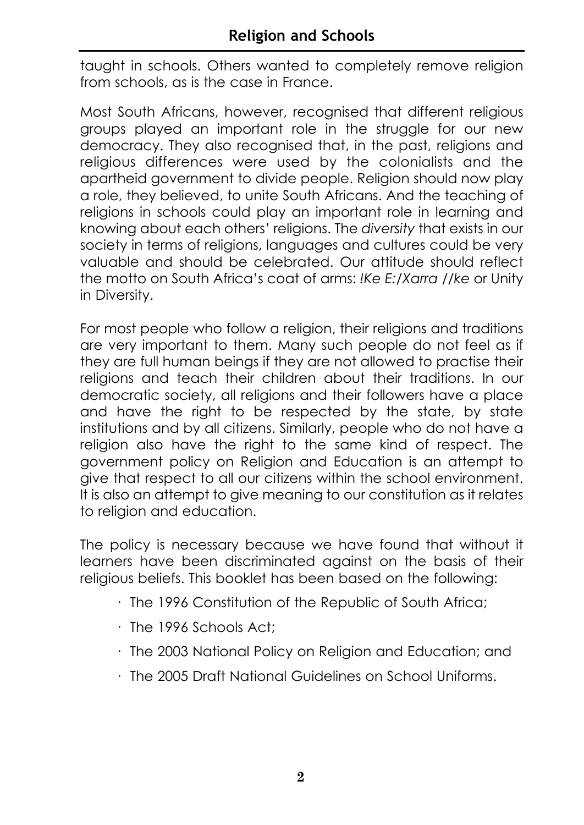taught in schools. Others wanted to completely remove religion from schools, as is the case in France.

Most South Africans, however, recognised that different religious groups played an important role in the struggle for our new democracy. They also recognised that, in the past, religions and religious differences were used by the colonialists and the apartheid government to divide people. Religion should now play a role, they believed, to unite South Africans. And the teaching of religions in schools could play an important role in learning and knowing about each others' religions. The *diversity* that exists in our society in terms of religions, languages and cultures could be very valuable and should be celebrated. Our attitude should reflect the motto on South Africa's coat of arms: *!Ke E:/Xarra //ke* or Unity in Diversity.

For most people who follow a religion, their religions and traditions are very important to them. Many such people do not feel as if they are full human beings if they are not allowed to practise their religions and teach their children about their traditions. In our democratic society, all religions and their followers have a place and have the right to be respected by the state, by state institutions and by all citizens. Similarly, people who do not have a religion also have the right to the same kind of respect. The government policy on Religion and Education is an attempt to give that respect to all our citizens within the school environment. It is also an attempt to give meaning to our constitution as it relates to religion and education.

The policy is necessary because we have found that without it learners have been discriminated against on the basis of their religious beliefs. This booklet has been based on the following:

- · The 1996 Constitution of the Republic of South Africa;
- · The 1996 Schools Act;
- · The 2003 National Policy on Religion and Education; and
- · The 2005 Draft National Guidelines on School Uniforms.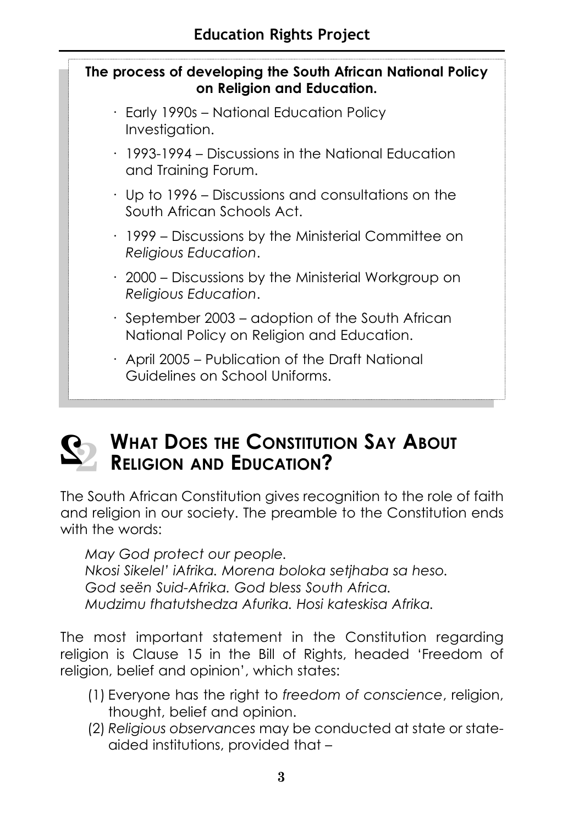

· April 2005 – Publication of the Draft National Guidelines on School Uniforms.



# **WHAT DOES THE CONSTITUTION SAY ABOUT RELIGION AND EDUCATION?**

The South African Constitution gives recognition to the role of faith and religion in our society. The preamble to the Constitution ends with the words:

*May God protect our people. Nkosi Sikelel' iAfrika. Morena boloka setjhaba sa heso. God seën Suid-Afrika. God bless South Africa. Mudzimu fhatutshedza Afurika. Hosi kateskisa Afrika.*

The most important statement in the Constitution regarding religion is Clause 15 in the Bill of Rights, headed 'Freedom of religion, belief and opinion', which states:

- (1) Everyone has the right to *freedom of conscience*, religion, thought, belief and opinion.
- (2) *Religious observances* may be conducted at state or stateaided institutions, provided that –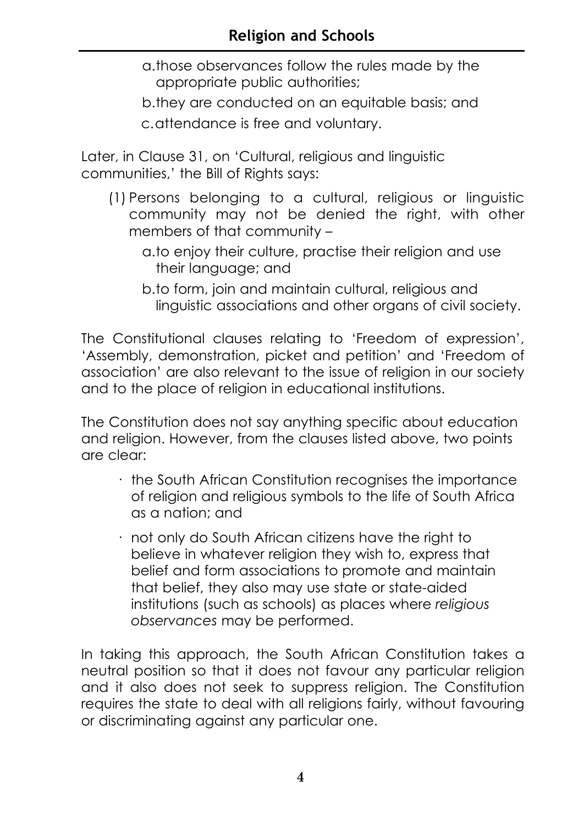- a.those observances follow the rules made by the appropriate public authorities;
- b.they are conducted on an equitable basis; and
- c.attendance is free and voluntary.

Later, in Clause 31, on 'Cultural, religious and linguistic communities,' the Bill of Rights says:

- (1) Persons belonging to a cultural, religious or linguistic community may not be denied the right, with other members of that community –
	- a.to enjoy their culture, practise their religion and use their language; and
	- b.to form, join and maintain cultural, religious and linguistic associations and other organs of civil society.

The Constitutional clauses relating to 'Freedom of expression', 'Assembly, demonstration, picket and petition' and 'Freedom of association' are also relevant to the issue of religion in our society and to the place of religion in educational institutions.

The Constitution does not say anything specific about education and religion. However, from the clauses listed above, two points are clear:

- · the South African Constitution recognises the importance of religion and religious symbols to the life of South Africa as a nation; and
- · not only do South African citizens have the right to believe in whatever religion they wish to, express that belief and form associations to promote and maintain that belief, they also may use state or state-aided institutions (such as schools) as places where *religious observances* may be performed.

In taking this approach, the South African Constitution takes a neutral position so that it does not favour any particular religion and it also does not seek to suppress religion. The Constitution requires the state to deal with all religions fairly, without favouring or discriminating against any particular one.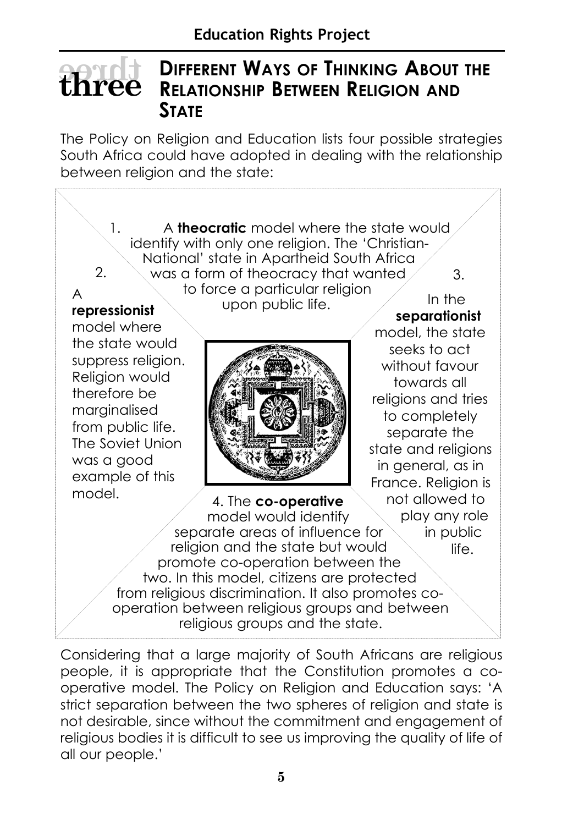### **DIFFERENT WAYS OF THINKING ABOUT THE RELATIONSHIP BETWEEN RELIGION AND STATE threethree**

The Policy on Religion and Education lists four possible strategies South Africa could have adopted in dealing with the relationship between religion and the state:



Considering that a large majority of South Africans are religious people, it is appropriate that the Constitution promotes a cooperative model. The Policy on Religion and Education says: 'A strict separation between the two spheres of religion and state is not desirable, since without the commitment and engagement of religious bodies it is difficult to see us improving the quality of life of all our people.'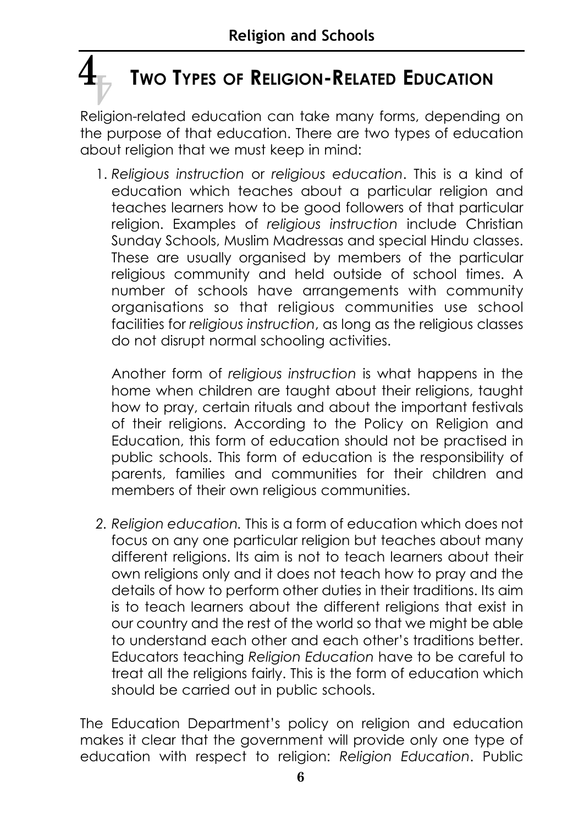# **TWO TYPES OF RELIGION-RELATED EDUCATION 4 4**

Religion-related education can take many forms, depending on the purpose of that education. There are two types of education about religion that we must keep in mind:

1. *Religious instruction* or *religious education*. This is a kind of education which teaches about a particular religion and teaches learners how to be good followers of that particular religion. Examples of *religious instruction* include Christian Sunday Schools, Muslim Madressas and special Hindu classes. These are usually organised by members of the particular religious community and held outside of school times. A number of schools have arrangements with community organisations so that religious communities use school facilities for *religious instruction*, as long as the religious classes do not disrupt normal schooling activities.

Another form of *religious instruction* is what happens in the home when children are taught about their religions, taught how to pray, certain rituals and about the important festivals of their religions. According to the Policy on Religion and Education, this form of education should not be practised in public schools. This form of education is the responsibility of parents, families and communities for their children and members of their own religious communities.

*2. Religion education.* This is a form of education which does not focus on any one particular religion but teaches about many different religions. Its aim is not to teach learners about their own religions only and it does not teach how to pray and the details of how to perform other duties in their traditions. Its aim is to teach learners about the different religions that exist in our country and the rest of the world so that we might be able to understand each other and each other's traditions better. Educators teaching *Religion Education* have to be careful to treat all the religions fairly. This is the form of education which should be carried out in public schools.

The Education Department's policy on religion and education makes it clear that the government will provide only one type of education with respect to religion: *Religion Education*. Public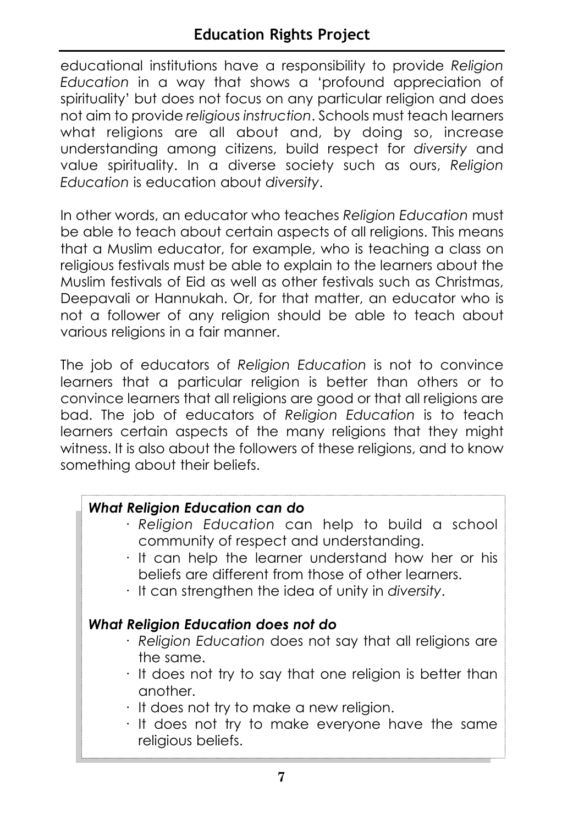educational institutions have a responsibility to provide *Religion Education* in a way that shows a 'profound appreciation of spirituality' but does not focus on any particular religion and does not aim to provide *religious instruction*. Schools must teach learners what religions are all about and, by doing so, increase understanding among citizens, build respect for *diversity* and value spirituality. In a diverse society such as ours, *Religion Education* is education about *diversity*.

In other words, an educator who teaches *Religion Education* must be able to teach about certain aspects of all religions. This means that a Muslim educator, for example, who is teaching a class on religious festivals must be able to explain to the learners about the Muslim festivals of Eid as well as other festivals such as Christmas, Deepavali or Hannukah. Or, for that matter, an educator who is not a follower of any religion should be able to teach about various religions in a fair manner.

The job of educators of *Religion Education* is not to convince learners that a particular religion is better than others or to convince learners that all religions are good or that all religions are bad. The job of educators of *Religion Education* is to teach learners certain aspects of the many religions that they might witness. It is also about the followers of these religions, and to know something about their beliefs.

# *What Religion Education can do*

- · *Religion Education* can help to build a school community of respect and understanding.
- · It can help the learner understand how her or his beliefs are different from those of other learners.
- · It can strengthen the idea of unity in *diversity*.

# *What Religion Education does not do*

- · *Religion Education* does not say that all religions are the same.
- · It does not try to say that one religion is better than another.
- · It does not try to make a new religion.
- · It does not try to make everyone have the same religious beliefs.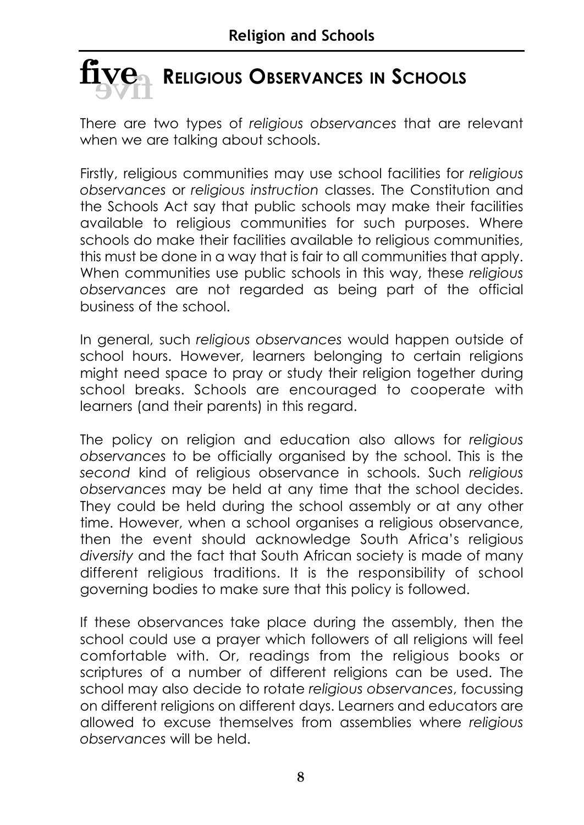

There are two types of *religious observances* that are relevant when we are talking about schools.

Firstly, religious communities may use school facilities for *religious observances* or *religious instruction* classes. The Constitution and the Schools Act say that public schools may make their facilities available to religious communities for such purposes. Where schools do make their facilities available to religious communities, this must be done in a way that is fair to all communities that apply. When communities use public schools in this way, these *religious observances* are not regarded as being part of the official business of the school.

In general, such *religious observances* would happen outside of school hours. However, learners belonging to certain religions might need space to pray or study their religion together during school breaks. Schools are encouraged to cooperate with learners (and their parents) in this regard.

The policy on religion and education also allows for *religious observances* to be officially organised by the school. This is the *second* kind of religious observance in schools. Such *religious observances* may be held at any time that the school decides. They could be held during the school assembly or at any other time. However, when a school organises a religious observance, then the event should acknowledge South Africa's religious *diversity* and the fact that South African society is made of many different religious traditions. It is the responsibility of school governing bodies to make sure that this policy is followed.

If these observances take place during the assembly, then the school could use a prayer which followers of all religions will feel comfortable with. Or, readings from the religious books or scriptures of a number of different religions can be used. The school may also decide to rotate *religious observances*, focussing on different religions on different days. Learners and educators are allowed to excuse themselves from assemblies where *religious observances* will be held.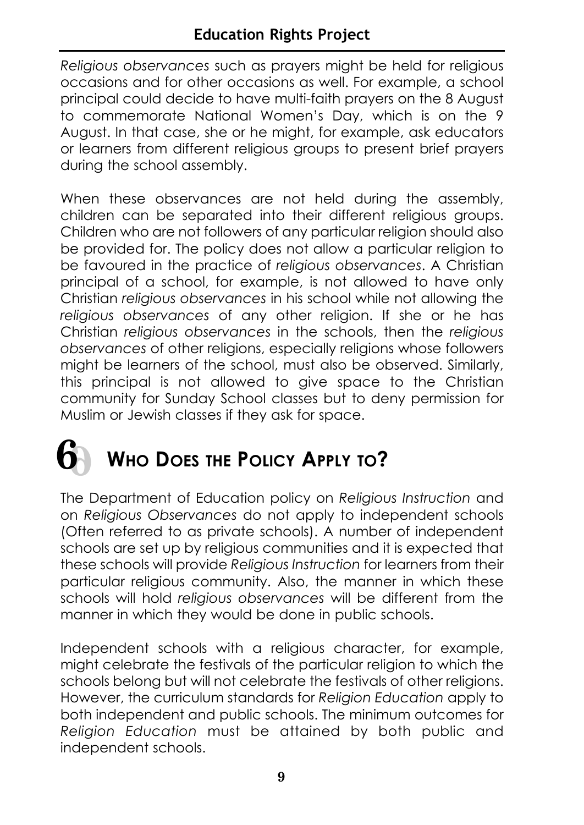*Religious observances* such as prayers might be held for religious occasions and for other occasions as well. For example, a school principal could decide to have multi-faith prayers on the 8 August to commemorate National Women's Day, which is on the 9 August. In that case, she or he might, for example, ask educators or learners from different religious groups to present brief prayers during the school assembly.

When these observances are not held during the assembly, children can be separated into their different religious groups. Children who are not followers of any particular religion should also be provided for. The policy does not allow a particular religion to be favoured in the practice of *religious observances*. A Christian principal of a school, for example, is not allowed to have only Christian *religious observances* in his school while not allowing the *religious observances* of any other religion. If she or he has Christian *religious observances* in the schools, then the *religious observances* of other religions, especially religions whose followers might be learners of the school, must also be observed. Similarly, this principal is not allowed to give space to the Christian community for Sunday School classes but to deny permission for Muslim or Jewish classes if they ask for space.

# **WHO DOES THE POLICY APPLY TO? 6 6**

The Department of Education policy on *Religious Instruction* and on *Religious Observances* do not apply to independent schools (Often referred to as private schools). A number of independent schools are set up by religious communities and it is expected that these schools will provide *Religious Instruction* for learners from their particular religious community. Also, the manner in which these schools will hold *religious observances* will be different from the manner in which they would be done in public schools.

Independent schools with a religious character, for example, might celebrate the festivals of the particular religion to which the schools belong but will not celebrate the festivals of other religions. However, the curriculum standards for *Religion Education* apply to both independent and public schools. The minimum outcomes for *Religion Education* must be attained by both public and independent schools.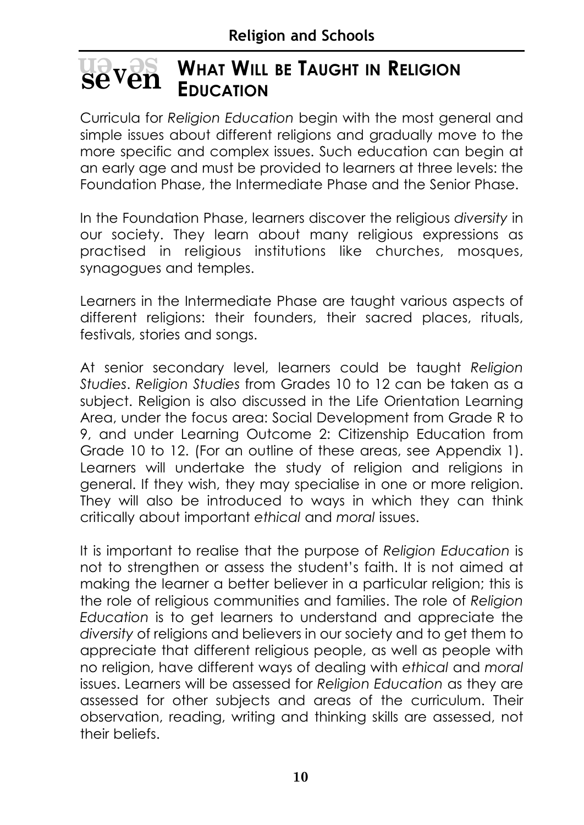#### **WHAT WILL BE TAUGHT IN RELIGION EDUCATION en <sup>v</sup> se sevven**

Curricula for *Religion Education* begin with the most general and simple issues about different religions and gradually move to the more specific and complex issues. Such education can begin at an early age and must be provided to learners at three levels: the Foundation Phase, the Intermediate Phase and the Senior Phase.

In the Foundation Phase, learners discover the religious *diversity* in our society. They learn about many religious expressions as practised in religious institutions like churches, mosques, synagogues and temples.

Learners in the Intermediate Phase are taught various aspects of different religions: their founders, their sacred places, rituals, festivals, stories and songs.

At senior secondary level, learners could be taught *Religion Studies*. *Religion Studies* from Grades 10 to 12 can be taken as a subject. Religion is also discussed in the Life Orientation Learning Area, under the focus area: Social Development from Grade R to 9, and under Learning Outcome 2: Citizenship Education from Grade 10 to 12. (For an outline of these areas, see Appendix 1). Learners will undertake the study of religion and religions in general. If they wish, they may specialise in one or more religion. They will also be introduced to ways in which they can think critically about important *ethical* and *moral* issues.

It is important to realise that the purpose of *Religion Education* is not to strengthen or assess the student's faith. It is not aimed at making the learner a better believer in a particular religion; this is the role of religious communities and families. The role of *Religion Education* is to get learners to understand and appreciate the *diversity* of religions and believers in our society and to get them to appreciate that different religious people, as well as people with no religion, have different ways of dealing with *ethical* and *moral* issues. Learners will be assessed for *Religion Education* as they are assessed for other subjects and areas of the curriculum. Their observation, reading, writing and thinking skills are assessed, not their beliefs.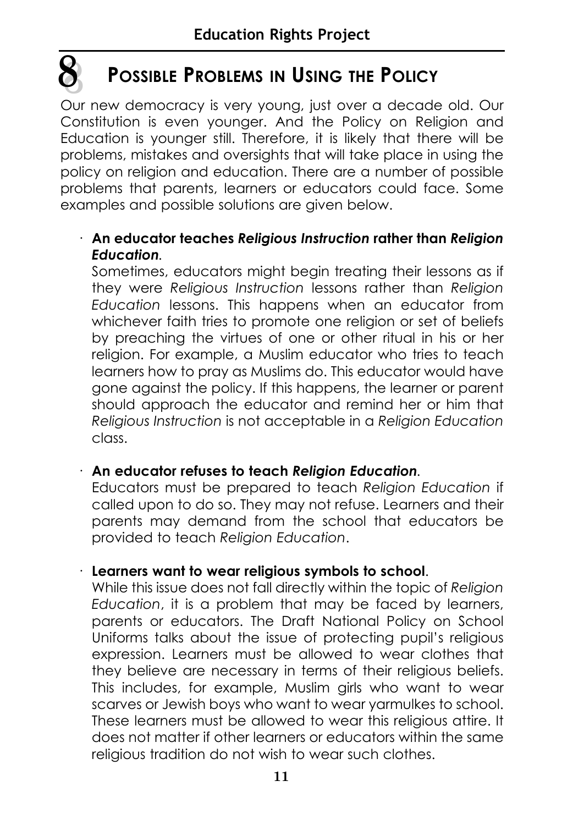# **POSSIBLE PROBLEMS IN USING THE POLICY**

**8 8** 

Our new democracy is very young, just over a decade old. Our Constitution is even younger. And the Policy on Religion and Education is younger still. Therefore, it is likely that there will be problems, mistakes and oversights that will take place in using the policy on religion and education. There are a number of possible problems that parents, learners or educators could face. Some examples and possible solutions are given below.

# · **An educator teaches** *Religious Instruction* **rather than** *Religion Education.*

Sometimes, educators might begin treating their lessons as if they were *Religious Instruction* lessons rather than *Religion Education* lessons. This happens when an educator from whichever faith tries to promote one religion or set of beliefs by preaching the virtues of one or other ritual in his or her religion. For example, a Muslim educator who tries to teach learners how to pray as Muslims do. This educator would have gone against the policy. If this happens, the learner or parent should approach the educator and remind her or him that *Religious Instruction* is not acceptable in a *Religion Education* class.

# · **An educator refuses to teach** *Religion Education.*

Educators must be prepared to teach *Religion Education* if called upon to do so. They may not refuse. Learners and their parents may demand from the school that educators be provided to teach *Religion Education*.

# · **Learners want to wear religious symbols to school**.

While this issue does not fall directly within the topic of *Religion Education*, it is a problem that may be faced by learners, parents or educators. The Draft National Policy on School Uniforms talks about the issue of protecting pupil's religious expression. Learners must be allowed to wear clothes that they believe are necessary in terms of their religious beliefs. This includes, for example, Muslim girls who want to wear scarves or Jewish boys who want to wear yarmulkes to school. These learners must be allowed to wear this religious attire. It does not matter if other learners or educators within the same religious tradition do not wish to wear such clothes.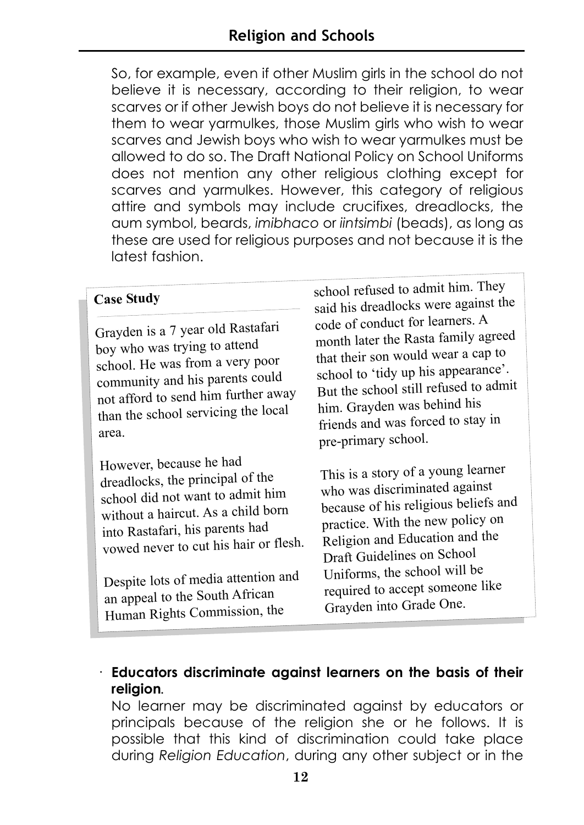So, for example, even if other Muslim girls in the school do not believe it is necessary, according to their religion, to wear scarves or if other Jewish boys do not believe it is necessary for them to wear yarmulkes, those Muslim girls who wish to wear scarves and Jewish boys who wish to wear yarmulkes must be allowed to do so. The Draft National Policy on School Uniforms does not mention any other religious clothing except for scarves and yarmulkes. However, this category of religious attire and symbols may include crucifixes, dreadlocks, the aum symbol, beards, *imibhaco* or *iintsimbi* (beads), as long as these are used for religious purposes and not because it is the latest fashion.

#### **Case Study**

Grayden is a 7 year old Rastafari boy who was trying to atten<sup>d</sup> school. He was from a very poor community and his parents could not afford to send him further away than the school servicing the local area.

However, because he had dreadlocks, the principal of the school did not want to admit him without a haircut. As a child born into Rastafari, his parents had vowed never to cut his hair or flesh.

Despite lots of media attention and an appeal to the South African Human Rights Commission, the

school refused to admit him. They said his dreadlocks were against the code of conduct for learners. A month later the Rasta family agree<sup>d</sup> that their son would wear a cap to school to 'tidy up his appearance'. But the school still refused to admit him. Grayden was behind his friends and was forced to stay in pre-primary school.

This is a story of a young learner who was discriminated against because of his religious beliefs and practice. With the new policy on Religion and Education and the Draft Guidelines on School Uniforms, the school will be required to accept someone like Grayden into Grade One.

# · **Educators discriminate against learners on the basis of their religion***.*

No learner may be discriminated against by educators or principals because of the religion she or he follows. It is possible that this kind of discrimination could take place during *Religion Education*, during any other subject or in the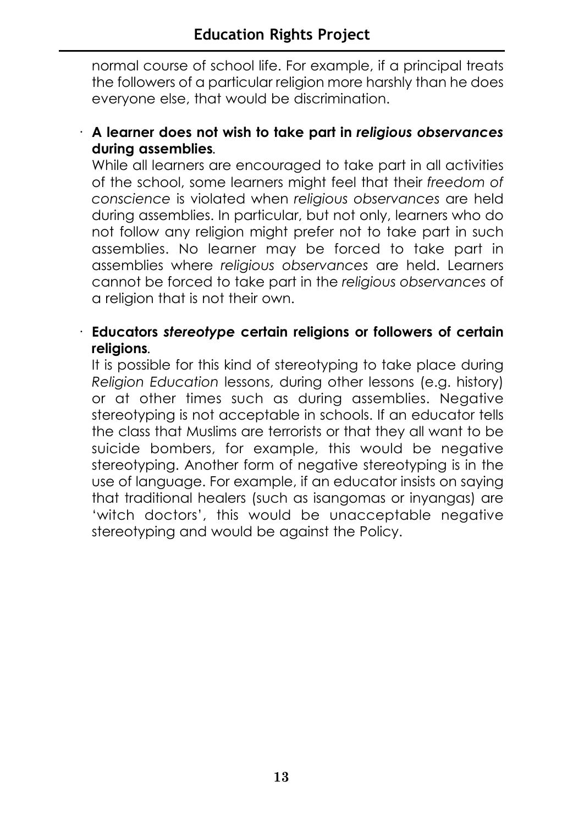normal course of school life. For example, if a principal treats the followers of a particular religion more harshly than he does everyone else, that would be discrimination.

· **A learner does not wish to take part in** *religious observances* **during assemblies***.*

While all learners are encouraged to take part in all activities of the school, some learners might feel that their *freedom of conscience* is violated when *religious observances* are held during assemblies. In particular, but not only, learners who do not follow any religion might prefer not to take part in such assemblies. No learner may be forced to take part in assemblies where *religious observances* are held. Learners cannot be forced to take part in the *religious observances* of a religion that is not their own.

· **Educators** *stereotype* **certain religions or followers of certain religions***.*

It is possible for this kind of stereotyping to take place during *Religion Education* lessons, during other lessons (e.g. history) or at other times such as during assemblies. Negative stereotyping is not acceptable in schools. If an educator tells the class that Muslims are terrorists or that they all want to be suicide bombers, for example, this would be negative stereotyping. Another form of negative stereotyping is in the use of language. For example, if an educator insists on saying that traditional healers (such as isangomas or inyangas) are 'witch doctors', this would be unacceptable negative stereotyping and would be against the Policy.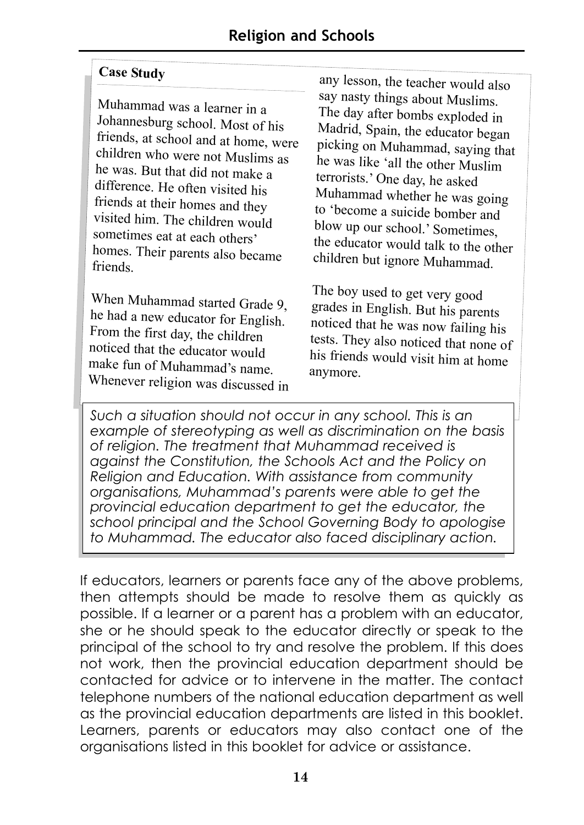#### **Case Study**

Muhammad was a learner in a Johannesburg school. Most of his friends, at school and at home, were children who were not Muslims as he was. But that did not make a difference. He often visited his friends at their homes and they visited him. The children would sometimes eat at each others' homes. Their parents also became friends.

When Muhammad started Grade 9, he had a new educator for English. From the first day, the children noticed that the educator would make fun of Muhammad's name. Whenever religion was discussed in

any lesson, the teacher would also say nasty things about Muslims. The day after bombs exploded in Madrid, Spain, the educator began picking on Muhammad, saying that he was like 'all the other Muslim terrorists.' One day, he asked Muhammad whether he was going to 'become a suicide bomber and blow up our school.' Sometimes. the educator would talk to the other children but ignore Muhammad.

The boy used to get very good grades in English. But his parents noticed that he was now failing his tests. They also noticed that none of his friends would visit him at home anymore.

*Such a situation should not occur in any school. This is an example of stereotyping as well as discrimination on the basis of religion. The treatment that Muhammad received is against the Constitution, the Schools Act and the Policy on Religion and Education. With assistance from community organisations, Muhammad's parents were able to get the provincial education department to get the educator, the school principal and the School Governing Body to apologise to Muhammad. The educator also faced disciplinary action.*

If educators, learners or parents face any of the above problems, then attempts should be made to resolve them as quickly as possible. If a learner or a parent has a problem with an educator, she or he should speak to the educator directly or speak to the principal of the school to try and resolve the problem. If this does not work, then the provincial education department should be contacted for advice or to intervene in the matter. The contact telephone numbers of the national education department as well as the provincial education departments are listed in this booklet. Learners, parents or educators may also contact one of the organisations listed in this booklet for advice or assistance.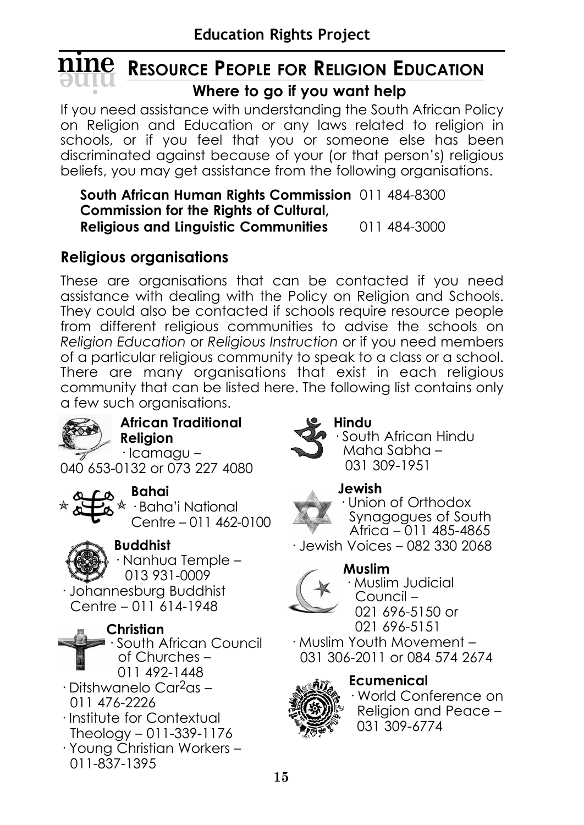# **RESOURCE PEOPLE FOR RELIGION EDUCATION**<br>
Where to go if you want help **Where to go if you want help**

If you need assistance with understanding the South African Policy on Religion and Education or any laws related to religion in schools, or if you feel that you or someone else has been discriminated against because of your (or that person's) religious beliefs, you may get assistance from the following organisations.

**South African Human Rights Commission** 011 484-8300 **Commission for the Rights of Cultural, Religious and Linguistic Communities** 011 484-3000

# **Religious organisations**

These are organisations that can be contacted if you need assistance with dealing with the Policy on Religion and Schools. They could also be contacted if schools require resource people from different religious communities to advise the schools on *Religion Education* or *Religious Instruction* or if you need members of a particular religious community to speak to a class or a school. There are many organisations that exist in each religious community that can be listed here. The following list contains only a few such organisations.



**African Traditional Religion**

· Icamagu – 040 653-0132 or 073 227 4080



# **Bahai**

· Baha'i National Centre – 011 462-0100



# **Buddhist**

· Nanhua Temple – 013 931-0009

· Johannesburg Buddhist Centre – 011 614-1948

# **Christian**



- · Ditshwanelo Car2as 011 476-2226
- · Institute for Contextual Theology – 011-339-1176
- · Young Christian Workers 011-837-1395



# **Hindu**

· South African Hindu Maha Sabha – 031 309-1951

# **Jewish**



· Union of Orthodox Synagogues of South Africa – 011 485-4865

· Jewish Voices – 082 330 2068

# **Muslim**



· Muslim Judicial Council – 021 696-5150 or 021 696-5151

· Muslim Youth Movement – 031 306-2011 or 084 574 2674



# **Ecumenical**

· World Conference on Religion and Peace – 031 309-6774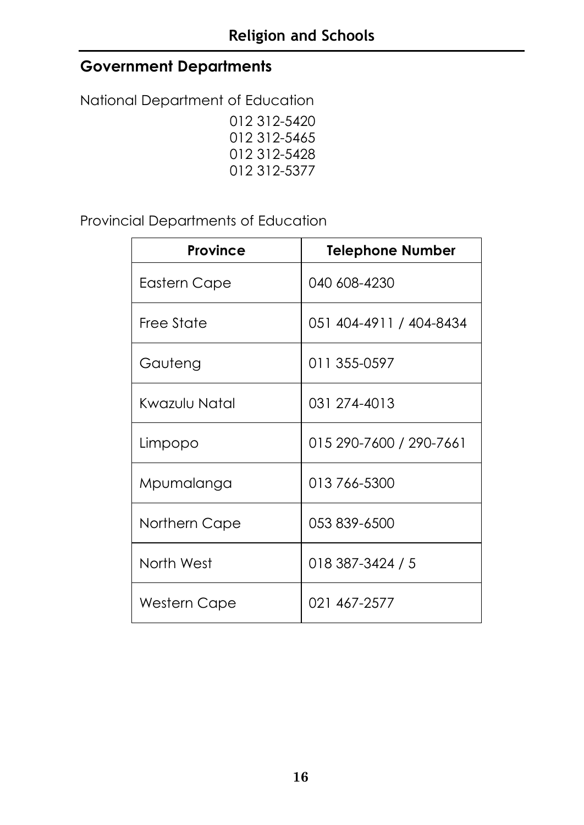# **Government Departments**

National Department of Education 012 312-5420 012 312-5465 012 312-5428 012 312-5377

Provincial Departments of Education

| Province      | <b>Telephone Number</b> |
|---------------|-------------------------|
| Eastern Cape  | 040 608-4230            |
| Free State    | 051 404-4911 / 404-8434 |
| Gauteng       | 011 355-0597            |
| Kwazulu Natal | 031 274-4013            |
| Limpopo       | 015 290-7600 / 290-7661 |
| Mpumalanga    | 013 766-5300            |
| Northern Cape | 053 839-6500            |
| North West    | 018 387-3424 / 5        |
| Western Cape  | 021 467-2577            |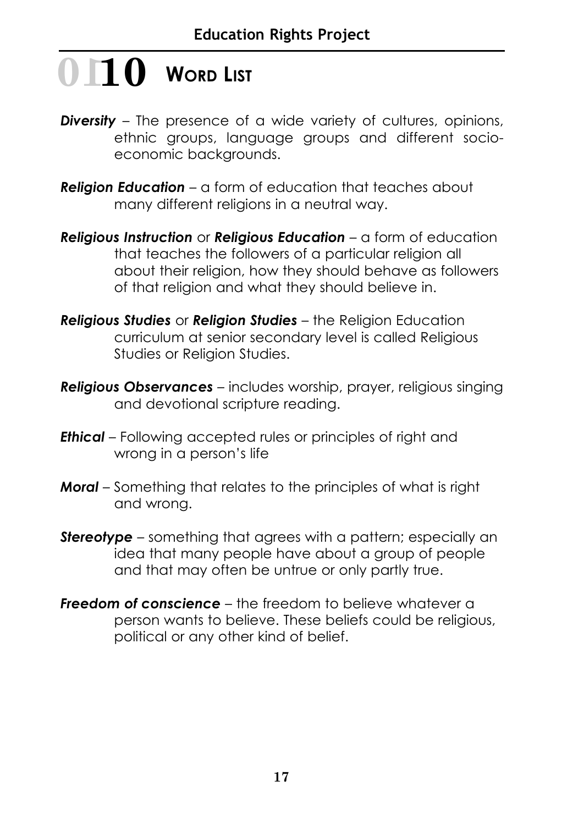# **10** WORD LIST

- *Diversity* The presence of a wide variety of cultures, opinions, ethnic groups, language groups and different socioeconomic backgrounds.
- *Religion Education* a form of education that teaches about many different religions in a neutral way.
- *Religious Instruction* or *Religious Education* a form of education that teaches the followers of a particular religion all about their religion, how they should behave as followers of that religion and what they should believe in.
- *Religious Studies* or *Religion Studies* the Religion Education curriculum at senior secondary level is called Religious Studies or Religion Studies.
- *Religious Observances* includes worship, prayer, religious singing and devotional scripture reading.
- *Ethical* Following accepted rules or principles of right and wrong in a person's life
- *Moral* Something that relates to the principles of what is right and wrong.
- **Stereotype** something that agrees with a pattern; especially an idea that many people have about a group of people and that may often be untrue or only partly true.
- *Freedom of conscience* the freedom to believe whatever a person wants to believe. These beliefs could be religious, political or any other kind of belief.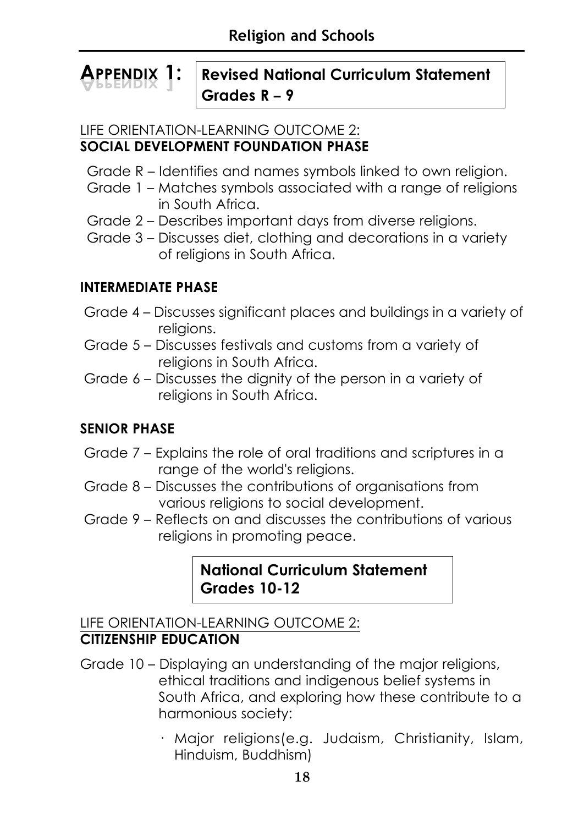#### **APPENDIX 1: Revised National Curriculum Statement Grades R – 9 APPENDIX 1**

#### LIFE ORIENTATION-LEARNING OUTCOME 2: **SOCIAL DEVELOPMENT FOUNDATION PHASE**

- Grade R Identifies and names symbols linked to own religion.
- Grade 1 Matches symbols associated with a range of religions in South Africa.
- Grade 2 Describes important days from diverse religions.
- Grade 3 Discusses diet, clothing and decorations in a variety of religions in South Africa.

# **INTERMEDIATE PHASE**

- Grade 4 Discusses significant places and buildings in a variety of religions.
- Grade 5 Discusses festivals and customs from a variety of religions in South Africa.
- Grade 6 Discusses the dignity of the person in a variety of religions in South Africa.

# **SENIOR PHASE**

- Grade 7 Explains the role of oral traditions and scriptures in a range of the world's religions.
- Grade 8 Discusses the contributions of organisations from various religions to social development.
- Grade 9 Reflects on and discusses the contributions of various religions in promoting peace.

# **National Curriculum Statement Grades 10-12**

# LIFE ORIENTATION-LEARNING OUTCOME 2: **CITIZENSHIP EDUCATION**

- Grade 10 Displaying an understanding of the major religions, ethical traditions and indigenous belief systems in South Africa, and exploring how these contribute to a harmonious society:
	- · Major religions(e.g. Judaism, Christianity, Islam, Hinduism, Buddhism)